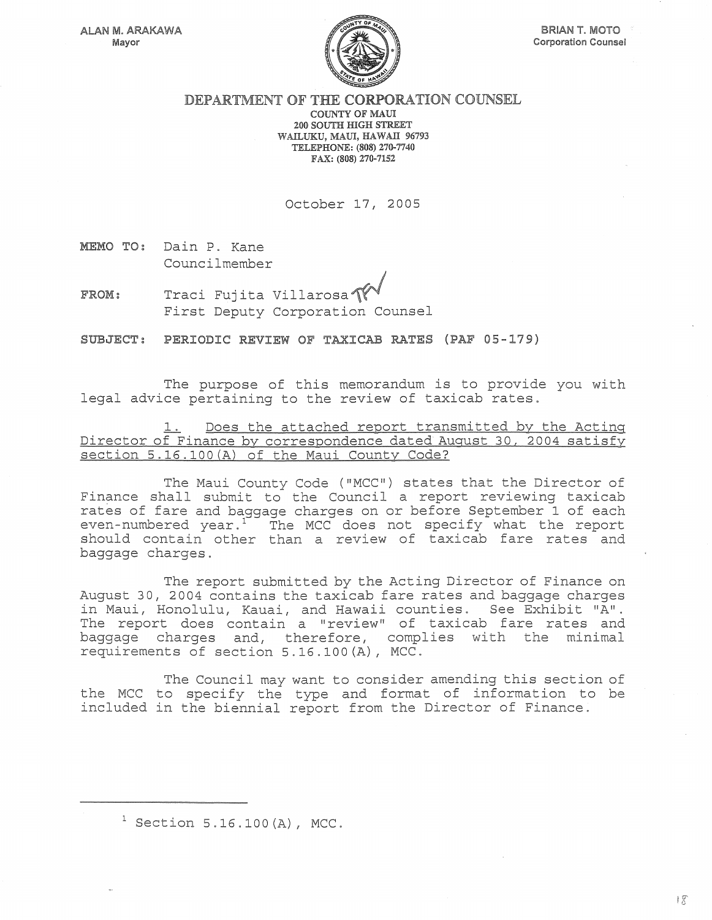

## DEPARTMENT OF THE CORPORATION COUNSEL COUNTY OF MAUl 200 SOUTH HIGH STREET WAILUKU, MAUl, HAWAll 96793 TELEPHONE: (808) 270-7740 FAX: (808) 270-7152

October 17, 2005

MEMO TO: Dain P. Kane Councilmember

FROM: Traci Fujita Villarosa $\text{W}^*$  First Deputy Corporation Counsel

SUBJECT: PERIODIC REVIEW OF TAXICAB RATES (PAF 05-179)

The purpose of this memorandum is to provide you with legal advice pertaining to the review of taxicab rates.

Does the attached report transmitted by the Acting Director of Finance by correspondence dated August 30, 2004 satisfy section 5.16.100(A) of the Maui County Code?

The Maui County Code ("MCC") states that the Director of Finance shall submit to the Council a report reviewing taxicab rates of fare and baggage charges on or before September 1 of each even-numbered year. $17$  The MCC does not specify what the report should contain other than a review of taxicab fare rates and baggage charges.

The report submitted by the Acting Director of Finance on August 30, 2004 contains the taxicab fare rates and baggage charges in Maui, Honolulu, Kauai, and Hawaii counties. See Exhibit "A". The report does contain a "review" of taxicab fare rates and baggage charges and, therefore, complies with the minimal requirements of section 5.16.100(A), MCC.

The Council may want to consider amending this section of the MCC to specify the type and format of information to be included in the biennial report from the Director of Finance.

 $1$  Section 5.16.100(A), MCC.